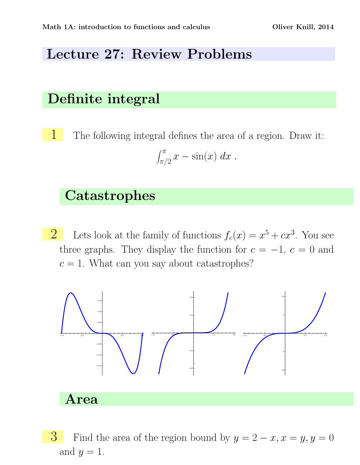## Lecture 27: Review Problems

### Definite integral

1 The following integral defines the area of a region. Draw it:  $\int_0^\pi$  $\int_{\pi/2}^{\pi} x - \sin(x) \ dx$ .

#### **Catastrophes**

2 Lets look at the family of functions  $f_c(x) = x^5 + cx^3$ . You see three graphs. They display the function for  $c = -1, c = 0$  and  $c = 1$ . What can you say about catastrophes?



Area

3 Find the area of the region bound by  $y = 2 - x, x = y, y = 0$ and  $y = 1$ .